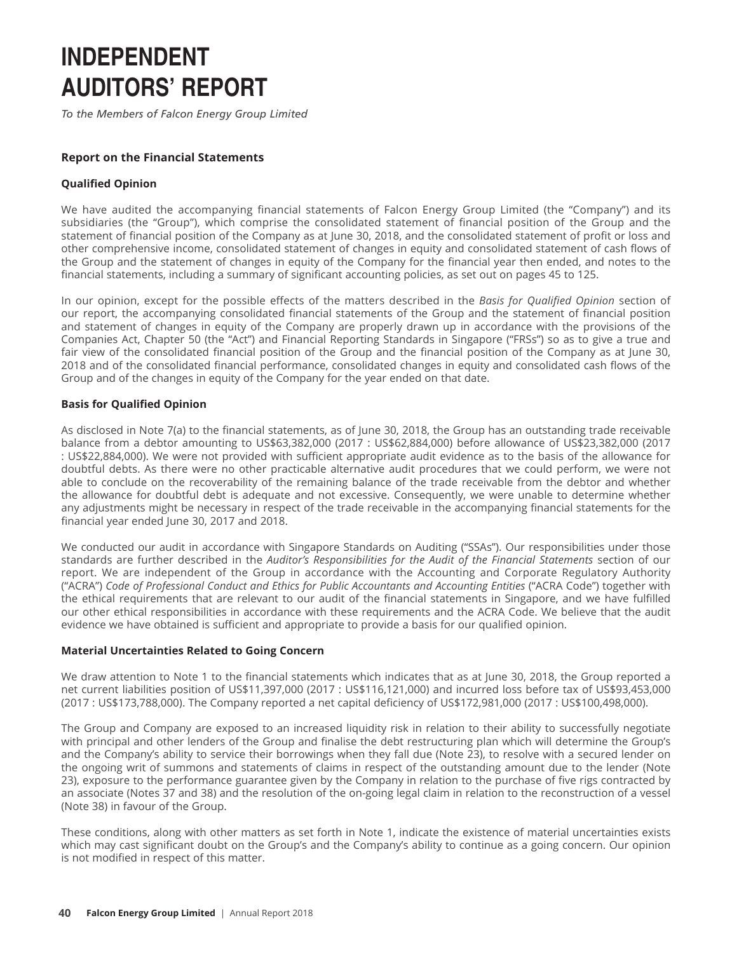*To the Members of Falcon Energy Group Limited*

# **Report on the Financial Statements**

## **Qualified Opinion**

We have audited the accompanying financial statements of Falcon Energy Group Limited (the "Company") and its subsidiaries (the "Group"), which comprise the consolidated statement of financial position of the Group and the statement of financial position of the Company as at June 30, 2018, and the consolidated statement of profit or loss and other comprehensive income, consolidated statement of changes in equity and consolidated statement of cash flows of the Group and the statement of changes in equity of the Company for the financial year then ended, and notes to the financial statements, including a summary of significant accounting policies, as set out on pages 45 to 125.

In our opinion, except for the possible effects of the matters described in the *Basis for Qualified Opinion* section of our report, the accompanying consolidated financial statements of the Group and the statement of financial position and statement of changes in equity of the Company are properly drawn up in accordance with the provisions of the Companies Act, Chapter 50 (the "Act") and Financial Reporting Standards in Singapore ("FRSs") so as to give a true and fair view of the consolidated financial position of the Group and the financial position of the Company as at June 30, 2018 and of the consolidated financial performance, consolidated changes in equity and consolidated cash flows of the Group and of the changes in equity of the Company for the year ended on that date.

### **Basis for Qualified Opinion**

As disclosed in Note 7(a) to the financial statements, as of June 30, 2018, the Group has an outstanding trade receivable balance from a debtor amounting to US\$63,382,000 (2017 : US\$62,884,000) before allowance of US\$23,382,000 (2017 : US\$22,884,000). We were not provided with sufficient appropriate audit evidence as to the basis of the allowance for doubtful debts. As there were no other practicable alternative audit procedures that we could perform, we were not able to conclude on the recoverability of the remaining balance of the trade receivable from the debtor and whether the allowance for doubtful debt is adequate and not excessive. Consequently, we were unable to determine whether any adjustments might be necessary in respect of the trade receivable in the accompanying financial statements for the financial year ended June 30, 2017 and 2018.

We conducted our audit in accordance with Singapore Standards on Auditing ("SSAs"). Our responsibilities under those standards are further described in the *Auditor's Responsibilities for the Audit of the Financial Statements* section of our report. We are independent of the Group in accordance with the Accounting and Corporate Regulatory Authority ("ACRA") Code of Professional Conduct and Ethics for Public Accountants and Accounting Entities ("ACRA Code") together with the ethical requirements that are relevant to our audit of the financial statements in Singapore, and we have fulfilled our other ethical responsibilities in accordance with these requirements and the ACRA Code. We believe that the audit evidence we have obtained is sufficient and appropriate to provide a basis for our qualified opinion.

### **Material Uncertainties Related to Going Concern**

We draw attention to Note 1 to the financial statements which indicates that as at June 30, 2018, the Group reported a net current liabilities position of US\$11,397,000 (2017 : US\$116,121,000) and incurred loss before tax of US\$93,453,000 (2017 : US\$173,788,000). The Company reported a net capital deficiency of US\$172,981,000 (2017 : US\$100,498,000).

The Group and Company are exposed to an increased liquidity risk in relation to their ability to successfully negotiate with principal and other lenders of the Group and finalise the debt restructuring plan which will determine the Group's and the Company's ability to service their borrowings when they fall due (Note 23), to resolve with a secured lender on the ongoing writ of summons and statements of claims in respect of the outstanding amount due to the lender (Note 23), exposure to the performance guarantee given by the Company in relation to the purchase of five rigs contracted by an associate (Notes 37 and 38) and the resolution of the on-going legal claim in relation to the reconstruction of a vessel (Note 38) in favour of the Group.

These conditions, along with other matters as set forth in Note 1, indicate the existence of material uncertainties exists which may cast significant doubt on the Group's and the Company's ability to continue as a going concern. Our opinion is not modified in respect of this matter.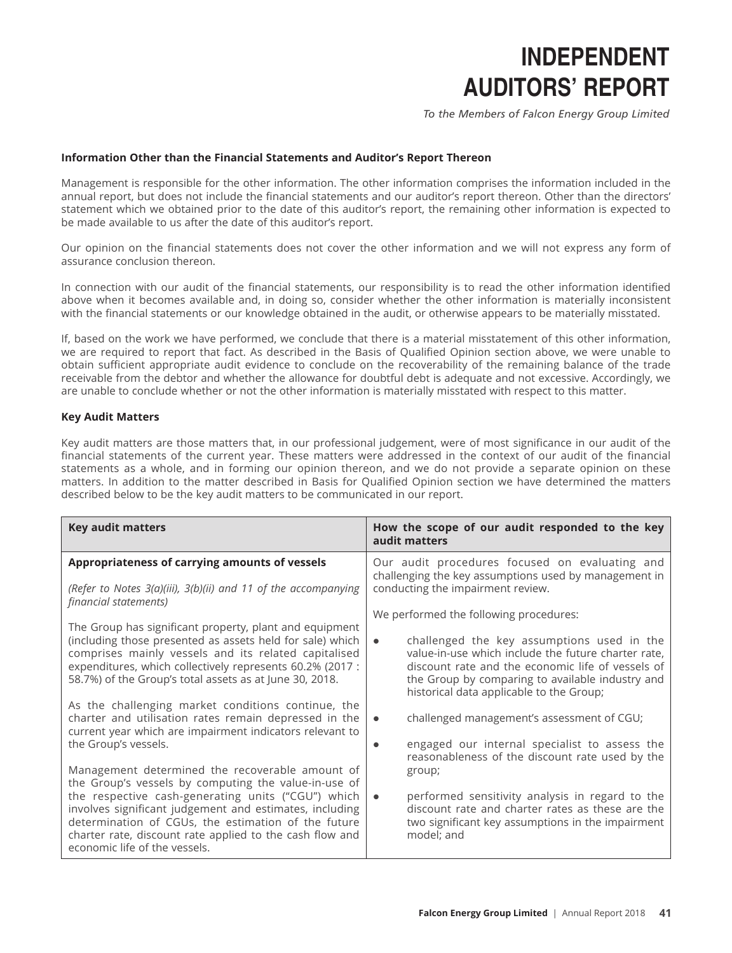*To the Members of Falcon Energy Group Limited*

### **Information Other than the Financial Statements and Auditor's Report Thereon**

Management is responsible for the other information. The other information comprises the information included in the annual report, but does not include the financial statements and our auditor's report thereon. Other than the directors' statement which we obtained prior to the date of this auditor's report, the remaining other information is expected to be made available to us after the date of this auditor's report.

Our opinion on the financial statements does not cover the other information and we will not express any form of assurance conclusion thereon.

In connection with our audit of the financial statements, our responsibility is to read the other information identified above when it becomes available and, in doing so, consider whether the other information is materially inconsistent with the financial statements or our knowledge obtained in the audit, or otherwise appears to be materially misstated.

If, based on the work we have performed, we conclude that there is a material misstatement of this other information, we are required to report that fact. As described in the Basis of Qualified Opinion section above, we were unable to obtain sufficient appropriate audit evidence to conclude on the recoverability of the remaining balance of the trade receivable from the debtor and whether the allowance for doubtful debt is adequate and not excessive. Accordingly, we are unable to conclude whether or not the other information is materially misstated with respect to this matter.

#### **Key Audit Matters**

Key audit matters are those matters that, in our professional judgement, were of most significance in our audit of the financial statements of the current year. These matters were addressed in the context of our audit of the financial statements as a whole, and in forming our opinion thereon, and we do not provide a separate opinion on these matters. In addition to the matter described in Basis for Qualified Opinion section we have determined the matters described below to be the key audit matters to be communicated in our report.

| <b>Key audit matters</b>                                                                                                                                                                                                                                                                                                                                                                                                                                                                                                                                                                                                                                                                                                                                                                                                                                                                                                                | How the scope of our audit responded to the key<br>audit matters                                                                                                                                                                                                                                                                                                                                                                                                                                                                                                                                                                                                                                                                                                                                                |
|-----------------------------------------------------------------------------------------------------------------------------------------------------------------------------------------------------------------------------------------------------------------------------------------------------------------------------------------------------------------------------------------------------------------------------------------------------------------------------------------------------------------------------------------------------------------------------------------------------------------------------------------------------------------------------------------------------------------------------------------------------------------------------------------------------------------------------------------------------------------------------------------------------------------------------------------|-----------------------------------------------------------------------------------------------------------------------------------------------------------------------------------------------------------------------------------------------------------------------------------------------------------------------------------------------------------------------------------------------------------------------------------------------------------------------------------------------------------------------------------------------------------------------------------------------------------------------------------------------------------------------------------------------------------------------------------------------------------------------------------------------------------------|
| Appropriateness of carrying amounts of vessels<br>(Refer to Notes 3(a)(iii), 3(b)(ii) and 11 of the accompanying<br>financial statements)<br>The Group has significant property, plant and equipment<br>(including those presented as assets held for sale) which<br>comprises mainly vessels and its related capitalised<br>expenditures, which collectively represents 60.2% (2017 :<br>58.7%) of the Group's total assets as at June 30, 2018.<br>As the challenging market conditions continue, the<br>charter and utilisation rates remain depressed in the<br>current year which are impairment indicators relevant to<br>the Group's vessels.<br>Management determined the recoverable amount of<br>the Group's vessels by computing the value-in-use of<br>the respective cash-generating units ("CGU") which<br>involves significant judgement and estimates, including<br>determination of CGUs, the estimation of the future | Our audit procedures focused on evaluating and<br>challenging the key assumptions used by management in<br>conducting the impairment review.<br>We performed the following procedures:<br>challenged the key assumptions used in the<br>$\bullet$<br>value-in-use which include the future charter rate,<br>discount rate and the economic life of vessels of<br>the Group by comparing to available industry and<br>historical data applicable to the Group;<br>challenged management's assessment of CGU;<br>$\bullet$<br>engaged our internal specialist to assess the<br>$\bullet$<br>reasonableness of the discount rate used by the<br>group;<br>performed sensitivity analysis in regard to the<br>discount rate and charter rates as these are the<br>two significant key assumptions in the impairment |
| charter rate, discount rate applied to the cash flow and<br>economic life of the vessels.                                                                                                                                                                                                                                                                                                                                                                                                                                                                                                                                                                                                                                                                                                                                                                                                                                               | model; and                                                                                                                                                                                                                                                                                                                                                                                                                                                                                                                                                                                                                                                                                                                                                                                                      |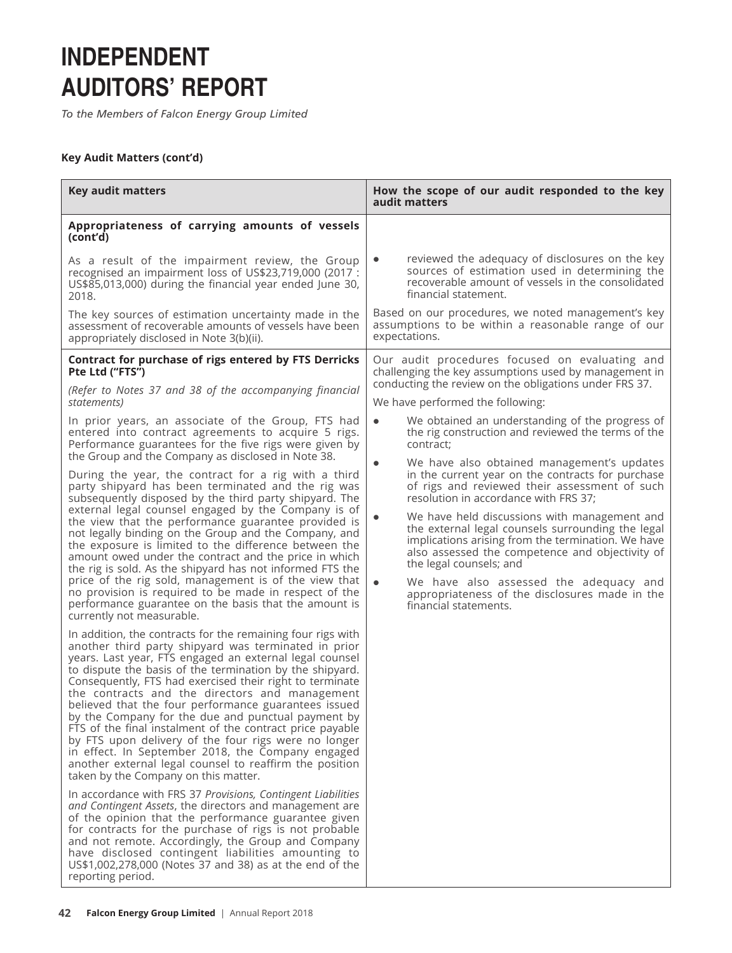*To the Members of Falcon Energy Group Limited*

## **Key Audit Matters (cont'd)**

| <b>Key audit matters</b>                                                                                                                                                                                                                                                                                                                                                                                                                                                                                                                                                                                                                                                                                                                                                                 | How the scope of our audit responded to the key<br>audit matters                                                                                                                                                                      |
|------------------------------------------------------------------------------------------------------------------------------------------------------------------------------------------------------------------------------------------------------------------------------------------------------------------------------------------------------------------------------------------------------------------------------------------------------------------------------------------------------------------------------------------------------------------------------------------------------------------------------------------------------------------------------------------------------------------------------------------------------------------------------------------|---------------------------------------------------------------------------------------------------------------------------------------------------------------------------------------------------------------------------------------|
| Appropriateness of carrying amounts of vessels<br>(cont'd)                                                                                                                                                                                                                                                                                                                                                                                                                                                                                                                                                                                                                                                                                                                               |                                                                                                                                                                                                                                       |
| As a result of the impairment review, the Group<br>recognised an impairment loss of US\$23,719,000 (2017 :<br>US\$85,013,000) during the financial year ended June 30,<br>2018.                                                                                                                                                                                                                                                                                                                                                                                                                                                                                                                                                                                                          | reviewed the adequacy of disclosures on the key<br>sources of estimation used in determining the<br>recoverable amount of vessels in the consolidated<br>financial statement.                                                         |
| The key sources of estimation uncertainty made in the<br>assessment of recoverable amounts of vessels have been<br>appropriately disclosed in Note 3(b)(ii).                                                                                                                                                                                                                                                                                                                                                                                                                                                                                                                                                                                                                             | Based on our procedures, we noted management's key<br>assumptions to be within a reasonable range of our<br>expectations.                                                                                                             |
| Contract for purchase of rigs entered by FTS Derricks<br>Pte Ltd ("FTS")<br>(Refer to Notes 37 and 38 of the accompanying financial                                                                                                                                                                                                                                                                                                                                                                                                                                                                                                                                                                                                                                                      | Our audit procedures focused on evaluating and<br>challenging the key assumptions used by management in<br>conducting the review on the obligations under FRS 37.                                                                     |
| statements)                                                                                                                                                                                                                                                                                                                                                                                                                                                                                                                                                                                                                                                                                                                                                                              | We have performed the following:                                                                                                                                                                                                      |
| In prior years, an associate of the Group, FTS had<br>entered into contract agreements to acquire 5 rigs.<br>Performance guarantees for the five rigs were given by                                                                                                                                                                                                                                                                                                                                                                                                                                                                                                                                                                                                                      | We obtained an understanding of the progress of<br>$\bullet$<br>the rig construction and reviewed the terms of the<br>contract:                                                                                                       |
| the Group and the Company as disclosed in Note 38.<br>During the year, the contract for a rig with a third<br>party shipyard has been terminated and the rig was<br>subsequently disposed by the third party shipyard. The<br>external legal counsel engaged by the Company is of<br>the view that the performance guarantee provided is<br>not legally binding on the Group and the Company, and<br>the exposure is limited to the difference between the<br>amount owed under the contract and the price in which<br>the rig is sold. As the shipyard has not informed FTS the<br>price of the rig sold, management is of the view that<br>no provision is required to be made in respect of the<br>performance guarantee on the basis that the amount is<br>currently not measurable. | We have also obtained management's updates<br>$\bullet$<br>in the current year on the contracts for purchase<br>of rigs and reviewed their assessment of such<br>resolution in accordance with FRS 37;                                |
|                                                                                                                                                                                                                                                                                                                                                                                                                                                                                                                                                                                                                                                                                                                                                                                          | We have held discussions with management and<br>the external legal counsels surrounding the legal<br>implications arising from the termination. We have<br>also assessed the competence and objectivity of<br>the legal counsels; and |
|                                                                                                                                                                                                                                                                                                                                                                                                                                                                                                                                                                                                                                                                                                                                                                                          | We have also assessed the adequacy and<br>appropriateness of the disclosures made in the<br>financial statements.                                                                                                                     |
| In addition, the contracts for the remaining four rigs with<br>another third party shipyard was terminated in prior<br>years. Last year, FTS engaged an external legal counsel<br>to dispute the basis of the termination by the shipyard.<br>Consequently, FTS had exercised their right to terminate<br>the contracts and the directors and management<br>believed that the four performance guarantees issued<br>by the Company for the due and punctual payment by<br>FTS of the final instalment of the contract price payable<br>by FTS upon delivery of the four rigs were no longer<br>in effect. In September 2018, the Company engaged<br>another external legal counsel to reaffirm the position<br>taken by the Company on this matter.                                      |                                                                                                                                                                                                                                       |
| In accordance with FRS 37 Provisions, Contingent Liabilities<br>and Contingent Assets, the directors and management are<br>of the opinion that the performance guarantee given<br>for contracts for the purchase of rigs is not probable<br>and not remote. Accordingly, the Group and Company<br>have disclosed contingent liabilities amounting to<br>US\$1,002,278,000 (Notes 37 and 38) as at the end of the<br>reporting period.                                                                                                                                                                                                                                                                                                                                                    |                                                                                                                                                                                                                                       |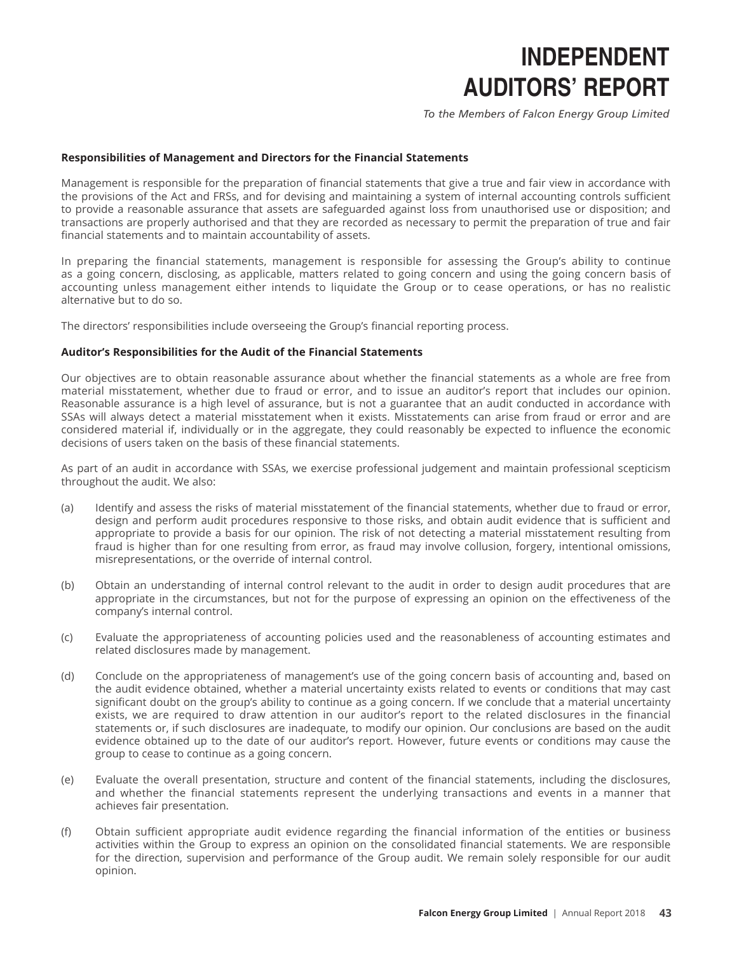*To the Members of Falcon Energy Group Limited*

#### **Responsibilities of Management and Directors for the Financial Statements**

Management is responsible for the preparation of financial statements that give a true and fair view in accordance with the provisions of the Act and FRSs, and for devising and maintaining a system of internal accounting controls sufficient to provide a reasonable assurance that assets are safeguarded against loss from unauthorised use or disposition; and transactions are properly authorised and that they are recorded as necessary to permit the preparation of true and fair financial statements and to maintain accountability of assets.

In preparing the financial statements, management is responsible for assessing the Group's ability to continue as a going concern, disclosing, as applicable, matters related to going concern and using the going concern basis of accounting unless management either intends to liquidate the Group or to cease operations, or has no realistic alternative but to do so.

The directors' responsibilities include overseeing the Group's financial reporting process.

#### **Auditor's Responsibilities for the Audit of the Financial Statements**

Our objectives are to obtain reasonable assurance about whether the financial statements as a whole are free from material misstatement, whether due to fraud or error, and to issue an auditor's report that includes our opinion. Reasonable assurance is a high level of assurance, but is not a guarantee that an audit conducted in accordance with SSAs will always detect a material misstatement when it exists. Misstatements can arise from fraud or error and are considered material if, individually or in the aggregate, they could reasonably be expected to influence the economic decisions of users taken on the basis of these financial statements.

As part of an audit in accordance with SSAs, we exercise professional judgement and maintain professional scepticism throughout the audit. We also:

- (a) Identify and assess the risks of material misstatement of the financial statements, whether due to fraud or error, design and perform audit procedures responsive to those risks, and obtain audit evidence that is sufficient and appropriate to provide a basis for our opinion. The risk of not detecting a material misstatement resulting from fraud is higher than for one resulting from error, as fraud may involve collusion, forgery, intentional omissions, misrepresentations, or the override of internal control.
- (b) Obtain an understanding of internal control relevant to the audit in order to design audit procedures that are appropriate in the circumstances, but not for the purpose of expressing an opinion on the effectiveness of the company's internal control.
- (c) Evaluate the appropriateness of accounting policies used and the reasonableness of accounting estimates and related disclosures made by management.
- (d) Conclude on the appropriateness of management's use of the going concern basis of accounting and, based on the audit evidence obtained, whether a material uncertainty exists related to events or conditions that may cast significant doubt on the group's ability to continue as a going concern. If we conclude that a material uncertainty exists, we are required to draw attention in our auditor's report to the related disclosures in the financial statements or, if such disclosures are inadequate, to modify our opinion. Our conclusions are based on the audit evidence obtained up to the date of our auditor's report. However, future events or conditions may cause the group to cease to continue as a going concern.
- (e) Evaluate the overall presentation, structure and content of the financial statements, including the disclosures, and whether the financial statements represent the underlying transactions and events in a manner that achieves fair presentation.
- (f) Obtain sufficient appropriate audit evidence regarding the financial information of the entities or business activities within the Group to express an opinion on the consolidated financial statements. We are responsible for the direction, supervision and performance of the Group audit. We remain solely responsible for our audit opinion.